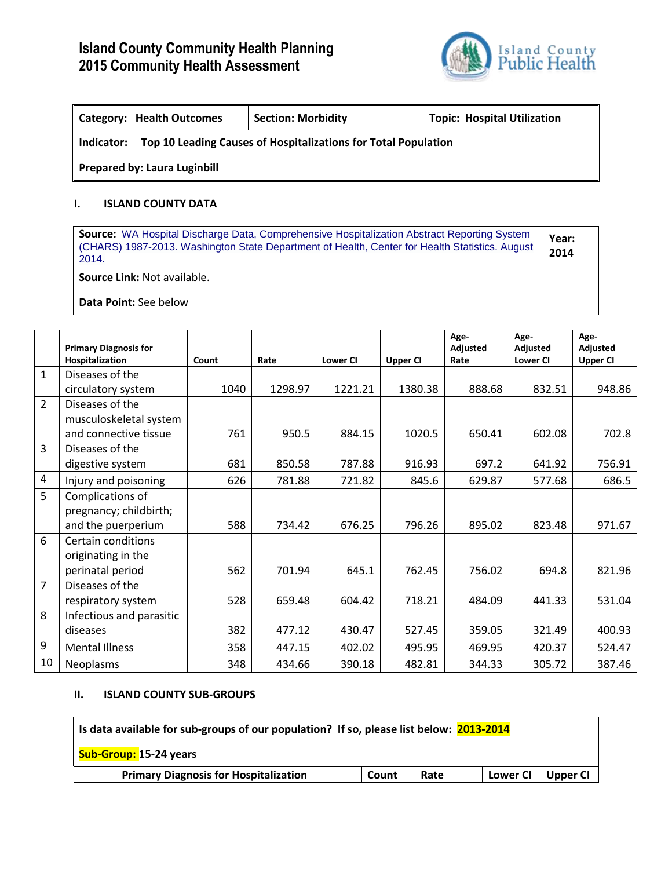

| Topic: Hospital Utilization<br><b>Category: Health Outcomes</b><br><b>Section: Morbidity</b> |  |  |  |  |  |  |  |  |  |
|----------------------------------------------------------------------------------------------|--|--|--|--|--|--|--|--|--|
| Top 10 Leading Causes of Hospitalizations for Total Population<br>Indicator:                 |  |  |  |  |  |  |  |  |  |
| <b>Prepared by: Laura Luginbill</b>                                                          |  |  |  |  |  |  |  |  |  |

### **I. ISLAND COUNTY DATA**

**Source:** WA Hospital Discharge Data, Comprehensive Hospitalization Abstract Reporting System (CHARS) 1987-2013. Washington State Department of Health, Center for Health Statistics. August 2014. **Year: 2014**

**Source Link:** Not available.

**Data Point:** See below

|                | <b>Primary Diagnosis for</b> |       |         |                 |                 | Age-<br>Adjusted | Age-<br>Adjusted | Age-<br>Adjusted |
|----------------|------------------------------|-------|---------|-----------------|-----------------|------------------|------------------|------------------|
|                | Hospitalization              | Count | Rate    | <b>Lower CI</b> | <b>Upper CI</b> | Rate             | <b>Lower CI</b>  | <b>Upper CI</b>  |
| $\mathbf{1}$   | Diseases of the              |       |         |                 |                 |                  |                  |                  |
|                | circulatory system           | 1040  | 1298.97 | 1221.21         | 1380.38         | 888.68           | 832.51           | 948.86           |
| $\overline{2}$ | Diseases of the              |       |         |                 |                 |                  |                  |                  |
|                | musculoskeletal system       |       |         |                 |                 |                  |                  |                  |
|                | and connective tissue        | 761   | 950.5   | 884.15          | 1020.5          | 650.41           | 602.08           | 702.8            |
| $\overline{3}$ | Diseases of the              |       |         |                 |                 |                  |                  |                  |
|                | digestive system             | 681   | 850.58  | 787.88          | 916.93          | 697.2            | 641.92           | 756.91           |
| 4              | Injury and poisoning         | 626   | 781.88  | 721.82          | 845.6           | 629.87           | 577.68           | 686.5            |
| 5              | Complications of             |       |         |                 |                 |                  |                  |                  |
|                | pregnancy; childbirth;       |       |         |                 |                 |                  |                  |                  |
|                | and the puerperium           | 588   | 734.42  | 676.25          | 796.26          | 895.02           | 823.48           | 971.67           |
| 6              | <b>Certain conditions</b>    |       |         |                 |                 |                  |                  |                  |
|                | originating in the           |       |         |                 |                 |                  |                  |                  |
|                | perinatal period             | 562   | 701.94  | 645.1           | 762.45          | 756.02           | 694.8            | 821.96           |
| $\overline{7}$ | Diseases of the              |       |         |                 |                 |                  |                  |                  |
|                | respiratory system           | 528   | 659.48  | 604.42          | 718.21          | 484.09           | 441.33           | 531.04           |
| 8              | Infectious and parasitic     |       |         |                 |                 |                  |                  |                  |
|                | diseases                     | 382   | 477.12  | 430.47          | 527.45          | 359.05           | 321.49           | 400.93           |
| 9              | <b>Mental Illness</b>        | 358   | 447.15  | 402.02          | 495.95          | 469.95           | 420.37           | 524.47           |
| 10             | Neoplasms                    | 348   | 434.66  | 390.18          | 482.81          | 344.33           | 305.72           | 387.46           |

#### **II. ISLAND COUNTY SUB-GROUPS**

| Is data available for sub-groups of our population? If so, please list below: 2013-2014 |       |      |                 |          |  |  |  |  |  |  |
|-----------------------------------------------------------------------------------------|-------|------|-----------------|----------|--|--|--|--|--|--|
| Sub-Group: 15-24 years                                                                  |       |      |                 |          |  |  |  |  |  |  |
| <b>Primary Diagnosis for Hospitalization</b>                                            | Count | Rate | <b>Lower CI</b> | Upper CI |  |  |  |  |  |  |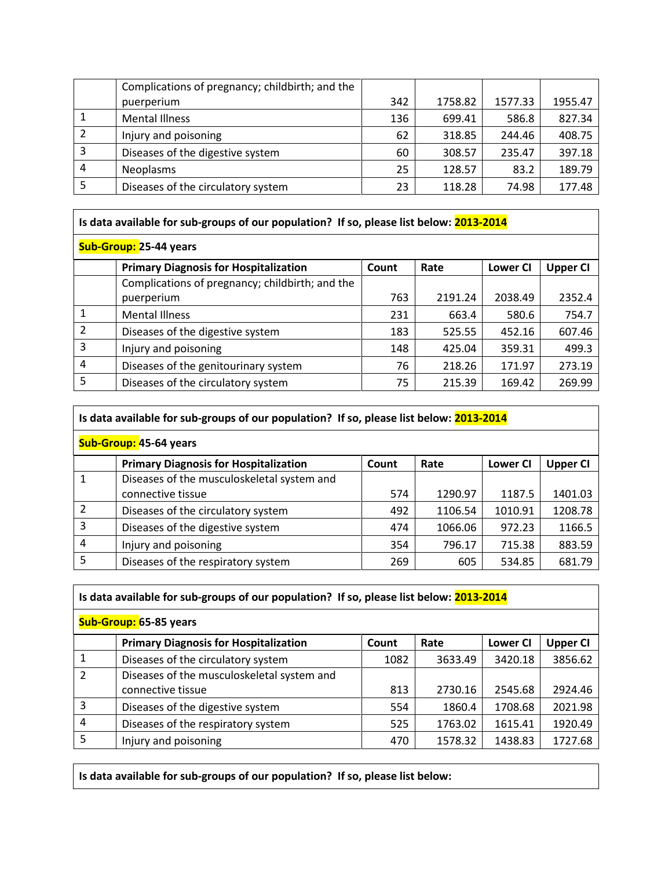|   | Complications of pregnancy; childbirth; and the |     |         |         |         |
|---|-------------------------------------------------|-----|---------|---------|---------|
|   | puerperium                                      | 342 | 1758.82 | 1577.33 | 1955.47 |
|   | <b>Mental Illness</b>                           | 136 | 699.41  | 586.8   | 827.34  |
|   | Injury and poisoning                            | 62  | 318.85  | 244.46  | 408.75  |
|   | Diseases of the digestive system                | 60  | 308.57  | 235.47  | 397.18  |
| 4 | <b>Neoplasms</b>                                | 25  | 128.57  | 83.2    | 189.79  |
|   | Diseases of the circulatory system              | 23  | 118.28  | 74.98   | 177.48  |

# **Is data available for sub-groups of our population? If so, please list below: 2013-2014**

|   | <b>Primary Diagnosis for Hospitalization</b>    | Count | Rate    | Lower CI | <b>Upper CI</b> |
|---|-------------------------------------------------|-------|---------|----------|-----------------|
|   | Complications of pregnancy; childbirth; and the |       |         |          |                 |
|   | puerperium                                      | 763   | 2191.24 | 2038.49  | 2352.4          |
|   | <b>Mental Illness</b>                           | 231   | 663.4   | 580.6    | 754.7           |
|   | Diseases of the digestive system                | 183   | 525.55  | 452.16   | 607.46          |
| 3 | Injury and poisoning                            | 148   | 425.04  | 359.31   | 499.3           |
| 4 | Diseases of the genitourinary system            | 76    | 218.26  | 171.97   | 273.19          |
|   | Diseases of the circulatory system              | 75    | 215.39  | 169.42   | 269.99          |

|                        | Is data available for sub-groups of our population? If so, please list below: 2013-2014 |       |         |                 |                 |  |  |  |  |  |  |  |
|------------------------|-----------------------------------------------------------------------------------------|-------|---------|-----------------|-----------------|--|--|--|--|--|--|--|
| Sub-Group: 45-64 years |                                                                                         |       |         |                 |                 |  |  |  |  |  |  |  |
|                        | <b>Primary Diagnosis for Hospitalization</b>                                            | Count | Rate    | <b>Lower CI</b> | <b>Upper CI</b> |  |  |  |  |  |  |  |
|                        | Diseases of the musculoskeletal system and                                              |       |         |                 |                 |  |  |  |  |  |  |  |
|                        | connective tissue                                                                       | 574   | 1290.97 | 1187.5          | 1401.03         |  |  |  |  |  |  |  |
|                        | Diseases of the circulatory system                                                      | 492   | 1106.54 | 1010.91         | 1208.78         |  |  |  |  |  |  |  |
| 3                      | Diseases of the digestive system                                                        | 474   | 1066.06 | 972.23          | 1166.5          |  |  |  |  |  |  |  |
| 4                      | Injury and poisoning                                                                    | 354   | 796.17  | 715.38          | 883.59          |  |  |  |  |  |  |  |
| 5                      | Diseases of the respiratory system                                                      | 269   | 605     | 534.85          | 681.79          |  |  |  |  |  |  |  |

|                        | Is data available for sub-groups of our population? If so, please list below: 2013-2014 |       |         |                 |                 |  |  |  |  |  |  |  |
|------------------------|-----------------------------------------------------------------------------------------|-------|---------|-----------------|-----------------|--|--|--|--|--|--|--|
| Sub-Group: 65-85 years |                                                                                         |       |         |                 |                 |  |  |  |  |  |  |  |
|                        | <b>Primary Diagnosis for Hospitalization</b>                                            | Count | Rate    | <b>Lower CI</b> | <b>Upper CI</b> |  |  |  |  |  |  |  |
| 1                      | Diseases of the circulatory system                                                      | 1082  | 3633.49 | 3420.18         | 3856.62         |  |  |  |  |  |  |  |
| $\overline{2}$         | Diseases of the musculoskeletal system and<br>connective tissue                         | 813   | 2730.16 | 2545.68         | 2924.46         |  |  |  |  |  |  |  |
| 3                      | Diseases of the digestive system                                                        | 554   | 1860.4  | 1708.68         | 2021.98         |  |  |  |  |  |  |  |
| 4                      | Diseases of the respiratory system                                                      | 525   | 1763.02 | 1615.41         | 1920.49         |  |  |  |  |  |  |  |
| 5                      | Injury and poisoning                                                                    | 470   | 1578.32 | 1438.83         | 1727.68         |  |  |  |  |  |  |  |

**Is data available for sub-groups of our population? If so, please list below:**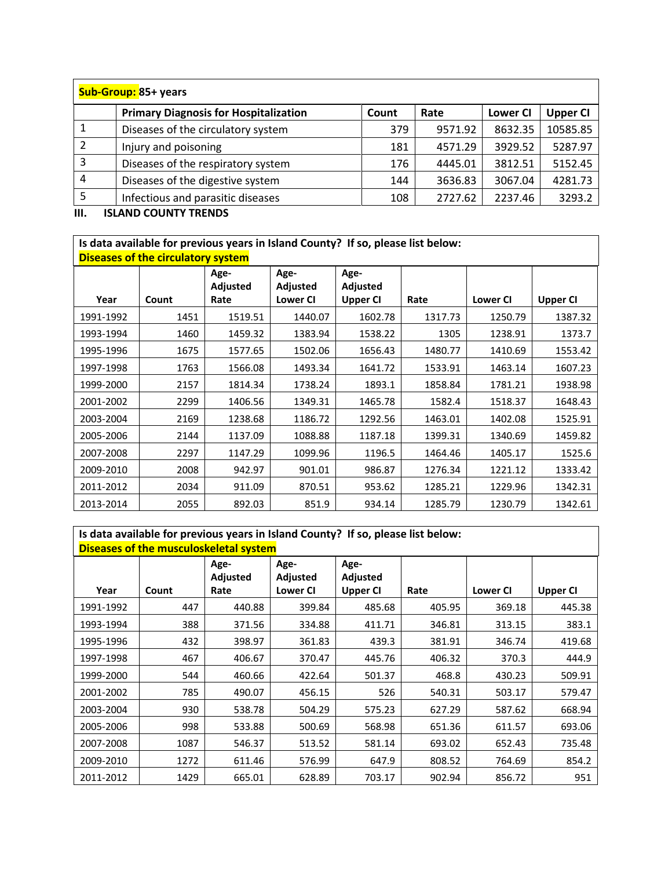|   | Sub-Group: 85+ years                         |       |         |                 |                 |  |  |  |  |  |  |  |
|---|----------------------------------------------|-------|---------|-----------------|-----------------|--|--|--|--|--|--|--|
|   | <b>Primary Diagnosis for Hospitalization</b> | Count | Rate    | <b>Lower CI</b> | <b>Upper CI</b> |  |  |  |  |  |  |  |
|   | Diseases of the circulatory system           | 379   | 9571.92 | 8632.35         | 10585.85        |  |  |  |  |  |  |  |
| 2 | Injury and poisoning                         | 181   | 4571.29 | 3929.52         | 5287.97         |  |  |  |  |  |  |  |
| 3 | Diseases of the respiratory system           | 176   | 4445.01 | 3812.51         | 5152.45         |  |  |  |  |  |  |  |
| 4 | Diseases of the digestive system             | 144   | 3636.83 | 3067.04         | 4281.73         |  |  |  |  |  |  |  |
|   | Infectious and parasitic diseases            | 108   | 2727.62 | 2237.46         | 3293.2          |  |  |  |  |  |  |  |

**III. ISLAND COUNTY TRENDS**

# **Is data available for previous years in Island County? If so, please list below:**

|           | <b>Diseases of the circulatory system</b> |                 |                 |                 |         |                 |                 |  |  |  |  |  |  |
|-----------|-------------------------------------------|-----------------|-----------------|-----------------|---------|-----------------|-----------------|--|--|--|--|--|--|
|           |                                           | Age-            | Age-            | Age-            |         |                 |                 |  |  |  |  |  |  |
|           |                                           | <b>Adjusted</b> | Adjusted        | <b>Adjusted</b> |         |                 |                 |  |  |  |  |  |  |
| Year      | Count                                     | Rate            | <b>Lower CI</b> | <b>Upper CI</b> | Rate    | <b>Lower CI</b> | <b>Upper CI</b> |  |  |  |  |  |  |
| 1991-1992 | 1451                                      | 1519.51         | 1440.07         | 1602.78         | 1317.73 | 1250.79         | 1387.32         |  |  |  |  |  |  |
| 1993-1994 | 1460                                      | 1459.32         | 1383.94         | 1538.22         | 1305    | 1238.91         | 1373.7          |  |  |  |  |  |  |
| 1995-1996 | 1675                                      | 1577.65         | 1502.06         | 1656.43         | 1480.77 | 1410.69         | 1553.42         |  |  |  |  |  |  |
| 1997-1998 | 1763                                      | 1566.08         | 1493.34         | 1641.72         | 1533.91 | 1463.14         | 1607.23         |  |  |  |  |  |  |
| 1999-2000 | 2157                                      | 1814.34         | 1738.24         | 1893.1          | 1858.84 | 1781.21         | 1938.98         |  |  |  |  |  |  |
| 2001-2002 | 2299                                      | 1406.56         | 1349.31         | 1465.78         | 1582.4  | 1518.37         | 1648.43         |  |  |  |  |  |  |
| 2003-2004 | 2169                                      | 1238.68         | 1186.72         | 1292.56         | 1463.01 | 1402.08         | 1525.91         |  |  |  |  |  |  |
| 2005-2006 | 2144                                      | 1137.09         | 1088.88         | 1187.18         | 1399.31 | 1340.69         | 1459.82         |  |  |  |  |  |  |
| 2007-2008 | 2297                                      | 1147.29         | 1099.96         | 1196.5          | 1464.46 | 1405.17         | 1525.6          |  |  |  |  |  |  |
| 2009-2010 | 2008                                      | 942.97          | 901.01          | 986.87          | 1276.34 | 1221.12         | 1333.42         |  |  |  |  |  |  |
| 2011-2012 | 2034                                      | 911.09          | 870.51          | 953.62          | 1285.21 | 1229.96         | 1342.31         |  |  |  |  |  |  |
| 2013-2014 | 2055                                      | 892.03          | 851.9           | 934.14          | 1285.79 | 1230.79         | 1342.61         |  |  |  |  |  |  |

# **Is data available for previous years in Island County? If so, please list below:**

|           | Diseases of the musculoskeletal system |                  |                  |                  |        |          |                 |  |  |  |  |  |  |
|-----------|----------------------------------------|------------------|------------------|------------------|--------|----------|-----------------|--|--|--|--|--|--|
|           |                                        | Age-<br>Adjusted | Age-<br>Adjusted | Age-<br>Adjusted |        |          |                 |  |  |  |  |  |  |
| Year      | Count                                  | Rate             | <b>Lower CI</b>  | <b>Upper CI</b>  | Rate   | Lower CI | <b>Upper CI</b> |  |  |  |  |  |  |
| 1991-1992 | 447                                    | 440.88           | 399.84           | 485.68           | 405.95 | 369.18   | 445.38          |  |  |  |  |  |  |
| 1993-1994 | 388                                    | 371.56           | 334.88           | 411.71           | 346.81 | 313.15   | 383.1           |  |  |  |  |  |  |
| 1995-1996 | 432                                    | 398.97           | 361.83           | 439.3            | 381.91 | 346.74   | 419.68          |  |  |  |  |  |  |
| 1997-1998 | 467                                    | 406.67           | 370.47           | 445.76           | 406.32 | 370.3    | 444.9           |  |  |  |  |  |  |
| 1999-2000 | 544                                    | 460.66           | 422.64           | 501.37           | 468.8  | 430.23   | 509.91          |  |  |  |  |  |  |
| 2001-2002 | 785                                    | 490.07           | 456.15           | 526              | 540.31 | 503.17   | 579.47          |  |  |  |  |  |  |
| 2003-2004 | 930                                    | 538.78           | 504.29           | 575.23           | 627.29 | 587.62   | 668.94          |  |  |  |  |  |  |
| 2005-2006 | 998                                    | 533.88           | 500.69           | 568.98           | 651.36 | 611.57   | 693.06          |  |  |  |  |  |  |
| 2007-2008 | 1087                                   | 546.37           | 513.52           | 581.14           | 693.02 | 652.43   | 735.48          |  |  |  |  |  |  |
| 2009-2010 | 1272                                   | 611.46           | 576.99           | 647.9            | 808.52 | 764.69   | 854.2           |  |  |  |  |  |  |
| 2011-2012 | 1429                                   | 665.01           | 628.89           | 703.17           | 902.94 | 856.72   | 951             |  |  |  |  |  |  |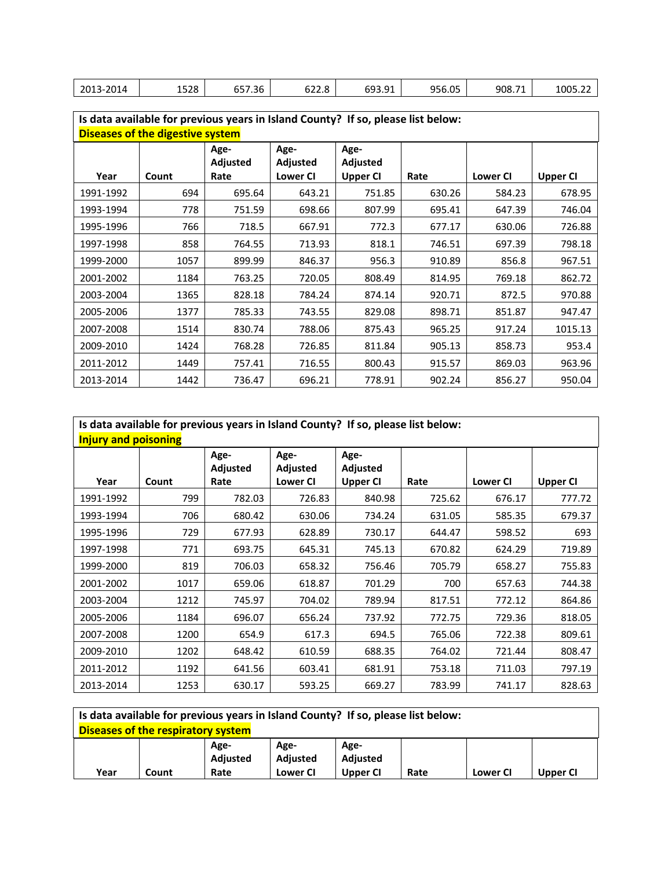|  | 2013-2014 | 1528 | $  -$<br>657.36 | $\sim$ $\sim$<br>$\overline{\phantom{a}}$<br>$\cdot$<br>022.8 | GQ3 91<br><b>UUU.JI</b> | 956.05 | 908.71 | 1005.22 |
|--|-----------|------|-----------------|---------------------------------------------------------------|-------------------------|--------|--------|---------|
|--|-----------|------|-----------------|---------------------------------------------------------------|-------------------------|--------|--------|---------|

| Is data available for previous years in Island County? If so, please list below: |       |                         |                  |                  |        |                 |                 |  |
|----------------------------------------------------------------------------------|-------|-------------------------|------------------|------------------|--------|-----------------|-----------------|--|
| <b>Diseases of the digestive system</b>                                          |       |                         |                  |                  |        |                 |                 |  |
|                                                                                  |       | Age-<br><b>Adjusted</b> | Age-<br>Adjusted | Age-<br>Adjusted |        |                 |                 |  |
| Year                                                                             | Count | Rate                    | <b>Lower CI</b>  | <b>Upper CI</b>  | Rate   | <b>Lower CI</b> | <b>Upper CI</b> |  |
| 1991-1992                                                                        | 694   | 695.64                  | 643.21           | 751.85           | 630.26 | 584.23          | 678.95          |  |
| 1993-1994                                                                        | 778   | 751.59                  | 698.66           | 807.99           | 695.41 | 647.39          | 746.04          |  |
| 1995-1996                                                                        | 766   | 718.5                   | 667.91           | 772.3            | 677.17 | 630.06          | 726.88          |  |
| 1997-1998                                                                        | 858   | 764.55                  | 713.93           | 818.1            | 746.51 | 697.39          | 798.18          |  |
| 1999-2000                                                                        | 1057  | 899.99                  | 846.37           | 956.3            | 910.89 | 856.8           | 967.51          |  |
| 2001-2002                                                                        | 1184  | 763.25                  | 720.05           | 808.49           | 814.95 | 769.18          | 862.72          |  |
| 2003-2004                                                                        | 1365  | 828.18                  | 784.24           | 874.14           | 920.71 | 872.5           | 970.88          |  |
| 2005-2006                                                                        | 1377  | 785.33                  | 743.55           | 829.08           | 898.71 | 851.87          | 947.47          |  |
| 2007-2008                                                                        | 1514  | 830.74                  | 788.06           | 875.43           | 965.25 | 917.24          | 1015.13         |  |
| 2009-2010                                                                        | 1424  | 768.28                  | 726.85           | 811.84           | 905.13 | 858.73          | 953.4           |  |
| 2011-2012                                                                        | 1449  | 757.41                  | 716.55           | 800.43           | 915.57 | 869.03          | 963.96          |  |
| 2013-2014                                                                        | 1442  | 736.47                  | 696.21           | 778.91           | 902.24 | 856.27          | 950.04          |  |

| Is data available for previous years in Island County? If so, please list below: |       |                         |                  |                         |        |                 |          |  |
|----------------------------------------------------------------------------------|-------|-------------------------|------------------|-------------------------|--------|-----------------|----------|--|
| <b>Injury and poisoning</b>                                                      |       |                         |                  |                         |        |                 |          |  |
|                                                                                  |       | Age-<br><b>Adjusted</b> | Age-<br>Adjusted | Age-<br><b>Adjusted</b> |        |                 |          |  |
| Year                                                                             | Count | Rate                    | <b>Lower CI</b>  | <b>Upper CI</b>         | Rate   | <b>Lower CI</b> | Upper CI |  |
| 1991-1992                                                                        | 799   | 782.03                  | 726.83           | 840.98                  | 725.62 | 676.17          | 777.72   |  |
| 1993-1994                                                                        | 706   | 680.42                  | 630.06           | 734.24                  | 631.05 | 585.35          | 679.37   |  |
| 1995-1996                                                                        | 729   | 677.93                  | 628.89           | 730.17                  | 644.47 | 598.52          | 693      |  |
| 1997-1998                                                                        | 771   | 693.75                  | 645.31           | 745.13                  | 670.82 | 624.29          | 719.89   |  |
| 1999-2000                                                                        | 819   | 706.03                  | 658.32           | 756.46                  | 705.79 | 658.27          | 755.83   |  |
| 2001-2002                                                                        | 1017  | 659.06                  | 618.87           | 701.29                  | 700    | 657.63          | 744.38   |  |
| 2003-2004                                                                        | 1212  | 745.97                  | 704.02           | 789.94                  | 817.51 | 772.12          | 864.86   |  |
| 2005-2006                                                                        | 1184  | 696.07                  | 656.24           | 737.92                  | 772.75 | 729.36          | 818.05   |  |
| 2007-2008                                                                        | 1200  | 654.9                   | 617.3            | 694.5                   | 765.06 | 722.38          | 809.61   |  |
| 2009-2010                                                                        | 1202  | 648.42                  | 610.59           | 688.35                  | 764.02 | 721.44          | 808.47   |  |
| 2011-2012                                                                        | 1192  | 641.56                  | 603.41           | 681.91                  | 753.18 | 711.03          | 797.19   |  |
| 2013-2014                                                                        | 1253  | 630.17                  | 593.25           | 669.27                  | 783.99 | 741.17          | 828.63   |  |

| Is data available for previous years in Island County? If so, please list below: |       |                         |                         |                         |      |                 |          |
|----------------------------------------------------------------------------------|-------|-------------------------|-------------------------|-------------------------|------|-----------------|----------|
| Diseases of the respiratory system                                               |       |                         |                         |                         |      |                 |          |
|                                                                                  |       | Age-<br><b>Adiusted</b> | Age-<br><b>Adiusted</b> | Age-<br><b>Adiusted</b> |      |                 |          |
| Year                                                                             | Count | Rate                    | <b>Lower CI</b>         | Upper CI                | Rate | <b>Lower CI</b> | Upper CI |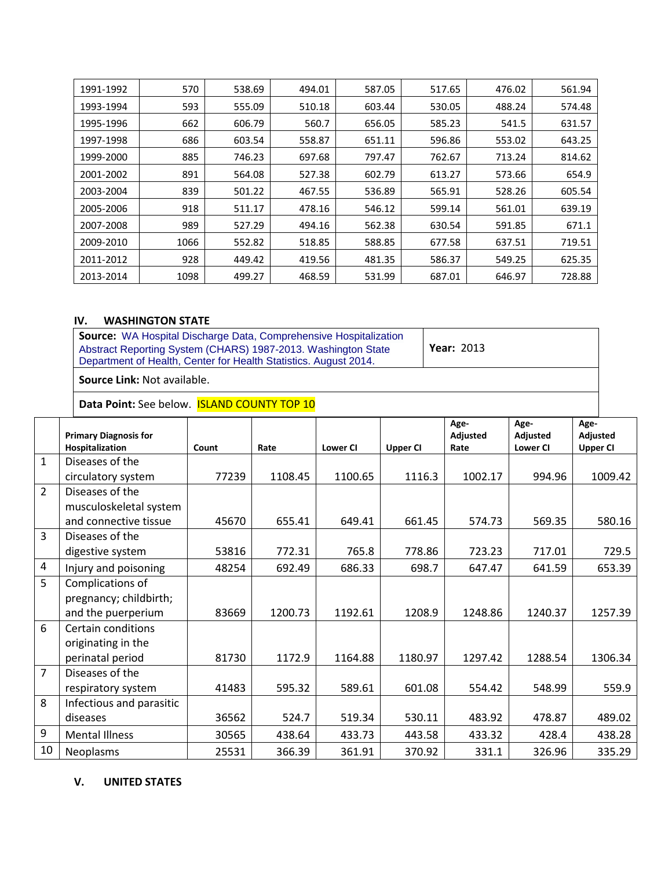| 1991-1992 | 570  | 538.69 | 494.01 | 587.05 | 517.65 | 476.02 | 561.94 |
|-----------|------|--------|--------|--------|--------|--------|--------|
| 1993-1994 | 593  | 555.09 | 510.18 | 603.44 | 530.05 | 488.24 | 574.48 |
| 1995-1996 | 662  | 606.79 | 560.7  | 656.05 | 585.23 | 541.5  | 631.57 |
| 1997-1998 | 686  | 603.54 | 558.87 | 651.11 | 596.86 | 553.02 | 643.25 |
| 1999-2000 | 885  | 746.23 | 697.68 | 797.47 | 762.67 | 713.24 | 814.62 |
| 2001-2002 | 891  | 564.08 | 527.38 | 602.79 | 613.27 | 573.66 | 654.9  |
| 2003-2004 | 839  | 501.22 | 467.55 | 536.89 | 565.91 | 528.26 | 605.54 |
| 2005-2006 | 918  | 511.17 | 478.16 | 546.12 | 599.14 | 561.01 | 639.19 |
| 2007-2008 | 989  | 527.29 | 494.16 | 562.38 | 630.54 | 591.85 | 671.1  |
| 2009-2010 | 1066 | 552.82 | 518.85 | 588.85 | 677.58 | 637.51 | 719.51 |
| 2011-2012 | 928  | 449.42 | 419.56 | 481.35 | 586.37 | 549.25 | 625.35 |
| 2013-2014 | 1098 | 499.27 | 468.59 | 531.99 | 687.01 | 646.97 | 728.88 |

## **IV. WASHINGTON STATE**

| <b>Source:</b> WA Hospital Discharge Data, Comprehensive Hospitalization |                   |
|--------------------------------------------------------------------------|-------------------|
| Abstract Reporting System (CHARS) 1987-2013. Washington State            | <b>Year: 2013</b> |
| Department of Health, Center for Health Statistics. August 2014.         |                   |
|                                                                          |                   |

**Source Link:** Not available.

Data Point: See below. **ISLAND COUNTY TOP 10** 

|                | <b>Primary Diagnosis for</b> |       |         |                 |                 | Age-<br>Adjusted | Age-<br>Adjusted | Age-<br>Adjusted |
|----------------|------------------------------|-------|---------|-----------------|-----------------|------------------|------------------|------------------|
|                | Hospitalization              | Count | Rate    | <b>Lower CI</b> | <b>Upper CI</b> | Rate             | <b>Lower CI</b>  | <b>Upper CI</b>  |
| $\mathbf{1}$   | Diseases of the              |       |         |                 |                 |                  |                  |                  |
|                | circulatory system           | 77239 | 1108.45 | 1100.65         | 1116.3          | 1002.17          | 994.96           | 1009.42          |
| $\overline{2}$ | Diseases of the              |       |         |                 |                 |                  |                  |                  |
|                | musculoskeletal system       |       |         |                 |                 |                  |                  |                  |
|                | and connective tissue        | 45670 | 655.41  | 649.41          | 661.45          | 574.73           | 569.35           | 580.16           |
| 3              | Diseases of the              |       |         |                 |                 |                  |                  |                  |
|                | digestive system             | 53816 | 772.31  | 765.8           | 778.86          | 723.23           | 717.01           | 729.5            |
| $\overline{a}$ | Injury and poisoning         | 48254 | 692.49  | 686.33          | 698.7           | 647.47           | 641.59           | 653.39           |
| 5              | Complications of             |       |         |                 |                 |                  |                  |                  |
|                | pregnancy; childbirth;       |       |         |                 |                 |                  |                  |                  |
|                | and the puerperium           | 83669 | 1200.73 | 1192.61         | 1208.9          | 1248.86          | 1240.37          | 1257.39          |
| 6              | Certain conditions           |       |         |                 |                 |                  |                  |                  |
|                | originating in the           |       |         |                 |                 |                  |                  |                  |
|                | perinatal period             | 81730 | 1172.9  | 1164.88         | 1180.97         | 1297.42          | 1288.54          | 1306.34          |
| $\overline{7}$ | Diseases of the              |       |         |                 |                 |                  |                  |                  |
|                | respiratory system           | 41483 | 595.32  | 589.61          | 601.08          | 554.42           | 548.99           | 559.9            |
| 8              | Infectious and parasitic     |       |         |                 |                 |                  |                  |                  |
|                | diseases                     | 36562 | 524.7   | 519.34          | 530.11          | 483.92           | 478.87           | 489.02           |
| 9              | <b>Mental Illness</b>        | 30565 | 438.64  | 433.73          | 443.58          | 433.32           | 428.4            | 438.28           |
| 10             | <b>Neoplasms</b>             | 25531 | 366.39  | 361.91          | 370.92          | 331.1            | 326.96           | 335.29           |

### **V. UNITED STATES**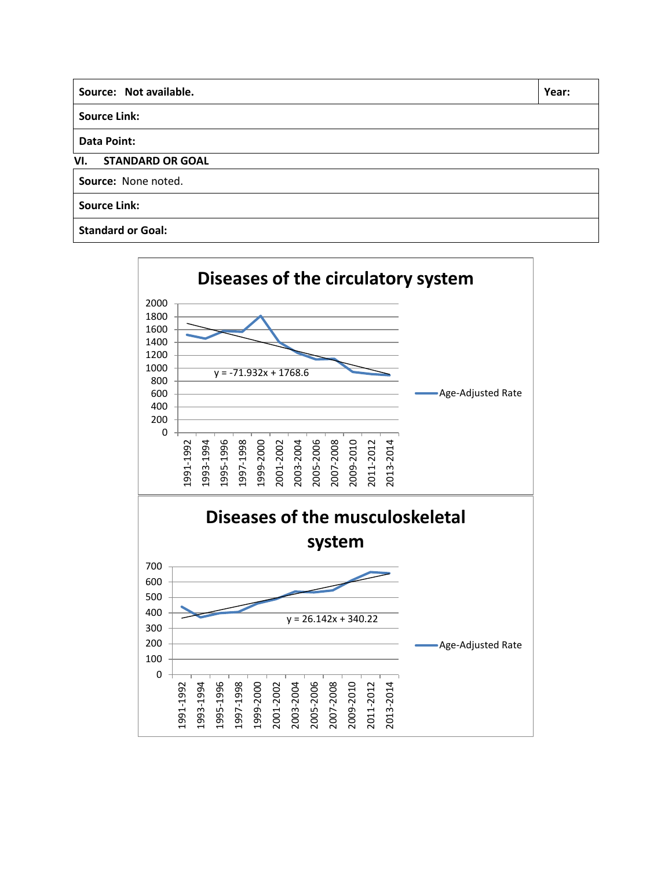| Source: Not available.<br>Year: |  |  |  |  |  |  |
|---------------------------------|--|--|--|--|--|--|
| <b>Source Link:</b>             |  |  |  |  |  |  |
| <b>Data Point:</b>              |  |  |  |  |  |  |
| VI.<br><b>STANDARD OR GOAL</b>  |  |  |  |  |  |  |
| Source: None noted.             |  |  |  |  |  |  |
| <b>Source Link:</b>             |  |  |  |  |  |  |
| <b>Standard or Goal:</b>        |  |  |  |  |  |  |

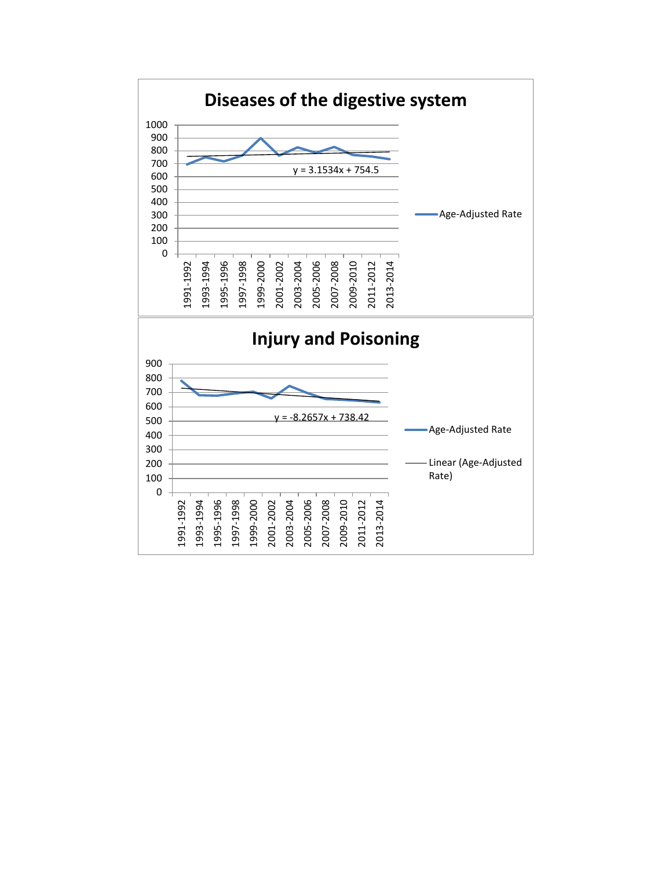